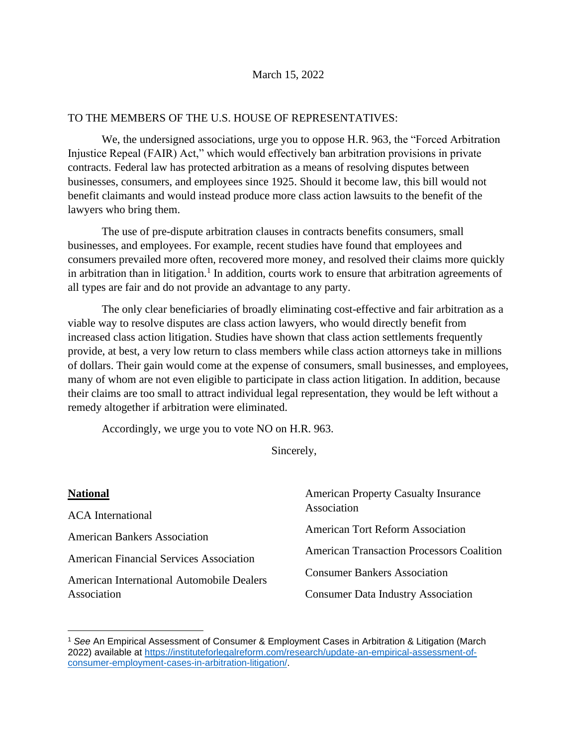#### TO THE MEMBERS OF THE U.S. HOUSE OF REPRESENTATIVES:

We, the undersigned associations, urge you to oppose H.R. 963, the "Forced Arbitration Injustice Repeal (FAIR) Act," which would effectively ban arbitration provisions in private contracts. Federal law has protected arbitration as a means of resolving disputes between businesses, consumers, and employees since 1925. Should it become law, this bill would not benefit claimants and would instead produce more class action lawsuits to the benefit of the lawyers who bring them.

The use of pre-dispute arbitration clauses in contracts benefits consumers, small businesses, and employees. For example, recent studies have found that employees and consumers prevailed more often, recovered more money, and resolved their claims more quickly in arbitration than in litigation.<sup>1</sup> In addition, courts work to ensure that arbitration agreements of all types are fair and do not provide an advantage to any party.

The only clear beneficiaries of broadly eliminating cost-effective and fair arbitration as a viable way to resolve disputes are class action lawyers, who would directly benefit from increased class action litigation. Studies have shown that class action settlements frequently provide, at best, a very low return to class members while class action attorneys take in millions of dollars. Their gain would come at the expense of consumers, small businesses, and employees, many of whom are not even eligible to participate in class action litigation. In addition, because their claims are too small to attract individual legal representation, they would be left without a remedy altogether if arbitration were eliminated.

Accordingly, we urge you to vote NO on H.R. 963.

Sincerely,

| <b>National</b>                                  | <b>American Property Casualty Insurance</b>      |
|--------------------------------------------------|--------------------------------------------------|
| <b>ACA</b> International                         | Association                                      |
| <b>American Bankers Association</b>              | <b>American Tort Reform Association</b>          |
| <b>American Financial Services Association</b>   | <b>American Transaction Processors Coalition</b> |
| <b>American International Automobile Dealers</b> | <b>Consumer Bankers Association</b>              |
| Association                                      | <b>Consumer Data Industry Association</b>        |

<sup>1</sup> *See* An Empirical Assessment of Consumer & Employment Cases in Arbitration & Litigation (March 2022) available at [https://instituteforlegalreform.com/research/update-an-empirical-assessment-of](https://instituteforlegalreform.com/research/update-an-empirical-assessment-of-consumer-employment-cases-in-arbitration-litigation/)[consumer-employment-cases-in-arbitration-litigation/.](https://instituteforlegalreform.com/research/update-an-empirical-assessment-of-consumer-employment-cases-in-arbitration-litigation/)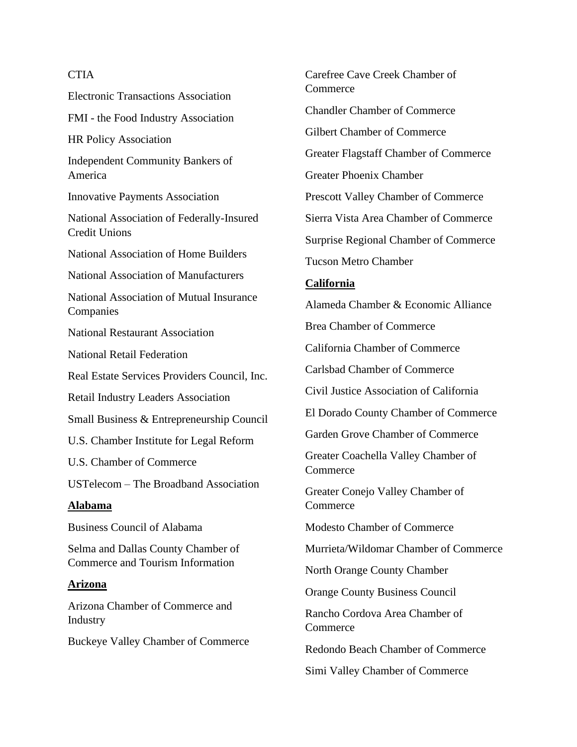## **CTIA**

Electronic Transactions Association FMI - the Food Industry Association HR Policy Association Independent Community Bankers of America Innovative Payments Association National Association of Federally-Insured Credit Unions National Association of Home Builders National Association of Manufacturers National Association of Mutual Insurance Companies National Restaurant Association National Retail Federation Real Estate Services Providers Council, Inc. Retail Industry Leaders Association Small Business & Entrepreneurship Council U.S. Chamber Institute for Legal Reform U.S. Chamber of Commerce USTelecom – The Broadband Association **Alabama** Business Council of Alabama Selma and Dallas County Chamber of Commerce and Tourism Information **Arizona**

Arizona Chamber of Commerce and Industry

Buckeye Valley Chamber of Commerce

Carefree Cave Creek Chamber of **Commerce** Chandler Chamber of Commerce Gilbert Chamber of Commerce Greater Flagstaff Chamber of Commerce Greater Phoenix Chamber Prescott Valley Chamber of Commerce Sierra Vista Area Chamber of Commerce Surprise Regional Chamber of Commerce Tucson Metro Chamber

## **California**

Alameda Chamber & Economic Alliance

Brea Chamber of Commerce

California Chamber of Commerce

Carlsbad Chamber of Commerce

Civil Justice Association of California

El Dorado County Chamber of Commerce

Garden Grove Chamber of Commerce

Greater Coachella Valley Chamber of Commerce

Greater Conejo Valley Chamber of Commerce

Modesto Chamber of Commerce

Murrieta/Wildomar Chamber of Commerce

North Orange County Chamber

Orange County Business Council

Rancho Cordova Area Chamber of **Commerce** 

Redondo Beach Chamber of Commerce

Simi Valley Chamber of Commerce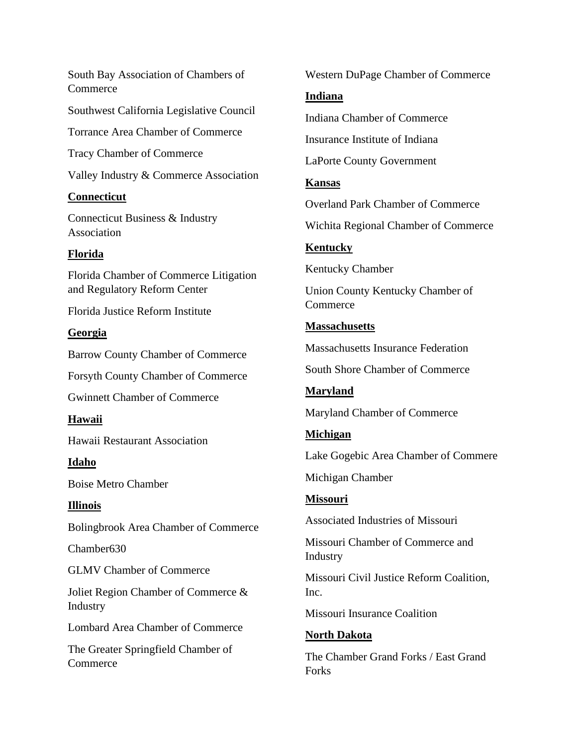South Bay Association of Chambers of **Commerce** Southwest California Legislative Council Torrance Area Chamber of Commerce Tracy Chamber of Commerce Valley Industry & Commerce Association **Connecticut** Connecticut Business & Industry Association **Florida** Florida Chamber of Commerce Litigation and Regulatory Reform Center Florida Justice Reform Institute **Georgia** Barrow County Chamber of Commerce Forsyth County Chamber of Commerce Gwinnett Chamber of Commerce **Hawaii** Hawaii Restaurant Association **Idaho** Boise Metro Chamber **Illinois** Bolingbrook Area Chamber of Commerce Chamber630 GLMV Chamber of Commerce Joliet Region Chamber of Commerce & Industry Lombard Area Chamber of Commerce The Greater Springfield Chamber of **Commerce** 

Western DuPage Chamber of Commerce

#### **Indiana**

Indiana Chamber of Commerce

Insurance Institute of Indiana

LaPorte County Government

## **Kansas**

Overland Park Chamber of Commerce

Wichita Regional Chamber of Commerce

## **Kentucky**

Kentucky Chamber

Union County Kentucky Chamber of **Commerce** 

## **Massachusetts**

Massachusetts Insurance Federation

South Shore Chamber of Commerce

## **Maryland**

Maryland Chamber of Commerce

## **Michigan**

Lake Gogebic Area Chamber of Commere

Michigan Chamber

## **Missouri**

Associated Industries of Missouri

Missouri Chamber of Commerce and Industry

Missouri Civil Justice Reform Coalition, Inc.

Missouri Insurance Coalition

## **North Dakota**

The Chamber Grand Forks / East Grand **Forks**